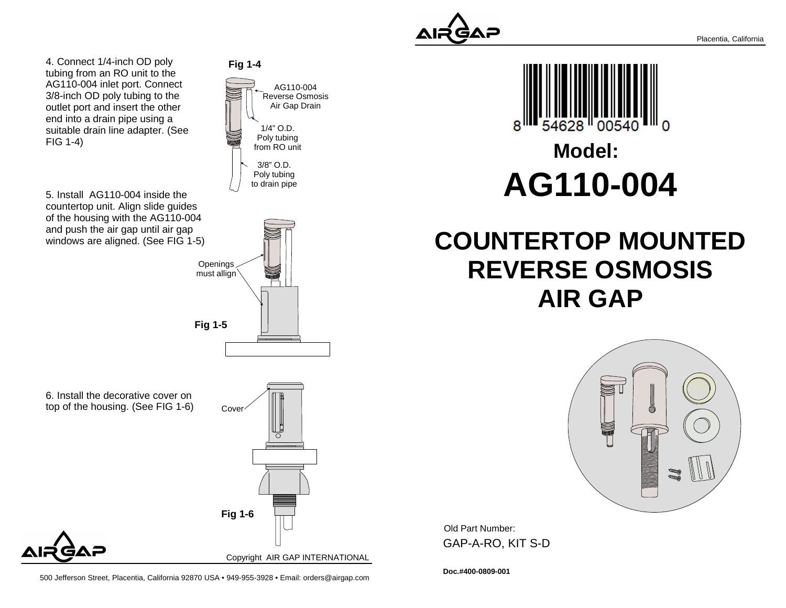

Placentia, California

4. Connect 1/4-inch OD poly tubing from an RO unit to the AG110-004 inlet port. Connect 3/8-inch OD poly tubing to the outlet port and insert the otherend into a drain pipe using a suitable drain line adapter. (SeeFIG 1-4)

5. Install AG110-004 inside the countertop unit. Align slide guides of the housing with the AG110-004and push the air gap until air gapwindows are aligned. (See FIG 1-5)





6. Install the decorative cover ontop of the housing. (See FIG 1-6)





500 Jefferson Street, Placentia, California 92870 USA • 949-955-3928 • Email: orders@airgap.com



# **Model:AG110-004**

## **COUNTERTOP MOUNTEDREVERSE OSMOSISAIR GAP**



Old Part Number: GAP-A-RO, KIT S-D

**Doc.#400-0809-001**